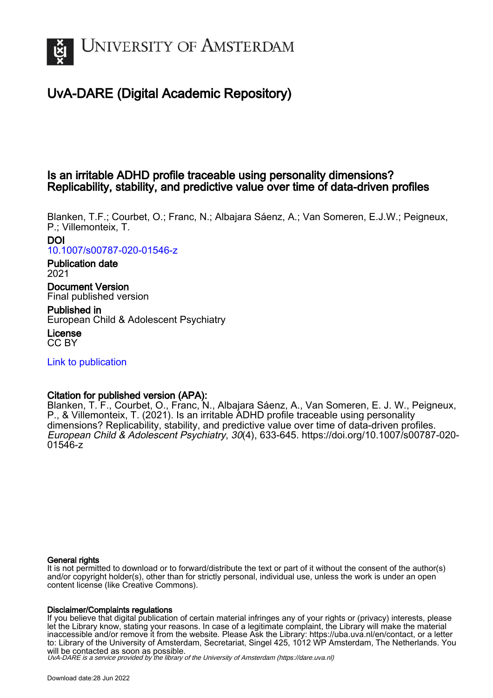

# UvA-DARE (Digital Academic Repository)

# Is an irritable ADHD profile traceable using personality dimensions? Replicability, stability, and predictive value over time of data-driven profiles

Blanken, T.F.; Courbet, O.; Franc, N.; Albajara Sáenz, A.; Van Someren, E.J.W.; Peigneux, P.; Villemonteix, T. DOI

[10.1007/s00787-020-01546-z](https://doi.org/10.1007/s00787-020-01546-z)

# Publication date 2021

Document Version Final published version

Published in European Child & Adolescent Psychiatry

License CC BY

[Link to publication](https://dare.uva.nl/personal/pure/en/publications/is-an-irritable-adhd-profile-traceable-using-personality-dimensions-replicability-stability-and-predictive-value-over-time-of-datadriven-profiles(a4fe2613-8eec-4a5e-87a9-ce04749ef13b).html)

# Citation for published version (APA):

Blanken, T. F., Courbet, O., Franc, N., Albajara Sáenz, A., Van Someren, E. J. W., Peigneux, P., & Villemonteix, T. (2021). Is an irritable ADHD profile traceable using personality dimensions? Replicability, stability, and predictive value over time of data‑driven profiles. European Child & Adolescent Psychiatry, 30(4), 633-645. [https://doi.org/10.1007/s00787-020-](https://doi.org/10.1007/s00787-020-01546-z) [01546-z](https://doi.org/10.1007/s00787-020-01546-z)

# General rights

It is not permitted to download or to forward/distribute the text or part of it without the consent of the author(s) and/or copyright holder(s), other than for strictly personal, individual use, unless the work is under an open content license (like Creative Commons).

# Disclaimer/Complaints regulations

If you believe that digital publication of certain material infringes any of your rights or (privacy) interests, please let the Library know, stating your reasons. In case of a legitimate complaint, the Library will make the material inaccessible and/or remove it from the website. Please Ask the Library: https://uba.uva.nl/en/contact, or a letter to: Library of the University of Amsterdam, Secretariat, Singel 425, 1012 WP Amsterdam, The Netherlands. You will be contacted as soon as possible.

UvA-DARE is a service provided by the library of the University of Amsterdam (http*s*://dare.uva.nl)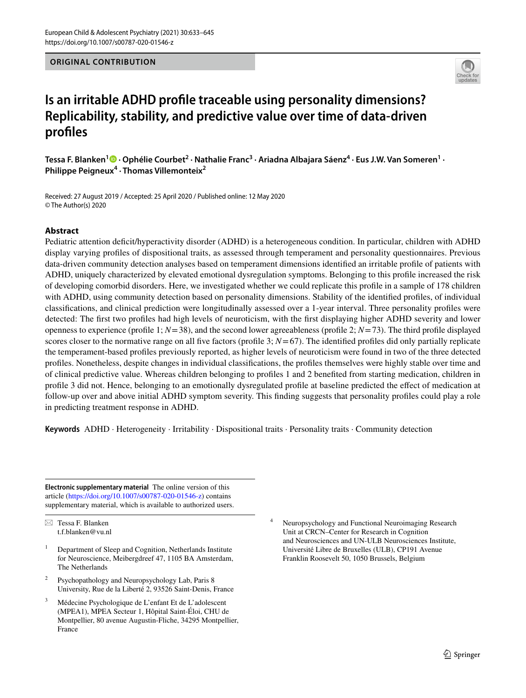## **ORIGINAL CONTRIBUTION**



# **Is an irritable ADHD profle traceable using personality dimensions? Replicability, stability, and predictive value over time of data‑driven profles**

TessaF. Blanken<sup>1</sup> <sup>®</sup> · Ophélie Courbet<sup>2</sup> · Nathalie Franc<sup>3</sup> · Ariadna Albajara Sáenz<sup>4</sup> · Eus J.W. Van Someren<sup>1</sup> · **Philippe Peigneux4 · Thomas Villemonteix2**

Received: 27 August 2019 / Accepted: 25 April 2020 / Published online: 12 May 2020 © The Author(s) 2020

# **Abstract**

Pediatric attention defcit/hyperactivity disorder (ADHD) is a heterogeneous condition. In particular, children with ADHD display varying profles of dispositional traits, as assessed through temperament and personality questionnaires. Previous data-driven community detection analyses based on temperament dimensions identifed an irritable profle of patients with ADHD, uniquely characterized by elevated emotional dysregulation symptoms. Belonging to this profle increased the risk of developing comorbid disorders. Here, we investigated whether we could replicate this profle in a sample of 178 children with ADHD, using community detection based on personality dimensions. Stability of the identifed profles, of individual classifcations, and clinical prediction were longitudinally assessed over a 1-year interval. Three personality profles were detected: The frst two profles had high levels of neuroticism, with the frst displaying higher ADHD severity and lower openness to experience (profile 1;  $N=38$ ), and the second lower agreeableness (profile 2;  $N=73$ ). The third profile displayed scores closer to the normative range on all five factors (profile  $3$ ;  $N=67$ ). The identified profiles did only partially replicate the temperament-based profles previously reported, as higher levels of neuroticism were found in two of the three detected profles. Nonetheless, despite changes in individual classifcations, the profles themselves were highly stable over time and of clinical predictive value. Whereas children belonging to profles 1 and 2 benefted from starting medication, children in profle 3 did not. Hence, belonging to an emotionally dysregulated profle at baseline predicted the efect of medication at follow-up over and above initial ADHD symptom severity. This fnding suggests that personality profles could play a role in predicting treatment response in ADHD.

**Keywords** ADHD · Heterogeneity · Irritability · Dispositional traits · Personality traits · Community detection

**Electronic supplementary material** The online version of this article [\(https://doi.org/10.1007/s00787-020-01546-z](https://doi.org/10.1007/s00787-020-01546-z)) contains supplementary material, which is available to authorized users.

 $\boxtimes$  Tessa F. Blanken t.f.blanken@vu.nl

- <sup>1</sup> Department of Sleep and Cognition, Netherlands Institute for Neuroscience, Meibergdreef 47, 1105 BA Amsterdam, The Netherlands
- <sup>2</sup> Psychopathology and Neuropsychology Lab, Paris 8 University, Rue de la Liberté 2, 93526 Saint-Denis, France
- <sup>3</sup> Médecine Psychologique de L'enfant Et de L'adolescent (MPEA1), MPEA Secteur 1, Hôpital Saint-Éloi, CHU de Montpellier, 80 avenue Augustin-Fliche, 34295 Montpellier, France
- Neuropsychology and Functional Neuroimaging Research Unit at CRCN–Center for Research in Cognition and Neurosciences and UN-ULB Neurosciences Institute, Université Libre de Bruxelles (ULB), CP191 Avenue Franklin Roosevelt 50, 1050 Brussels, Belgium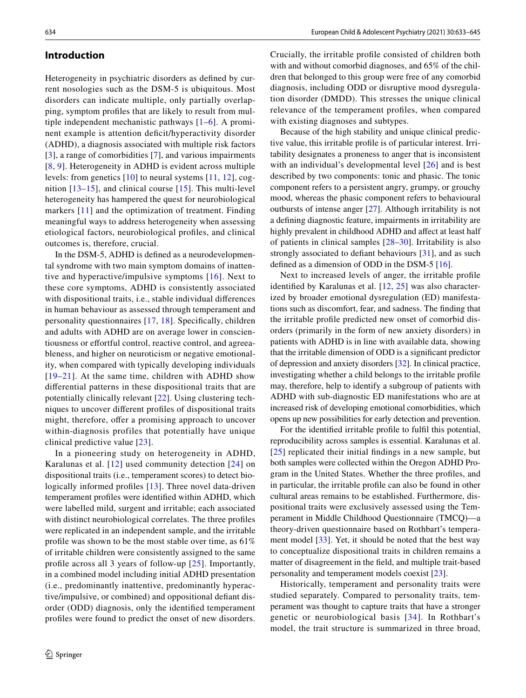## **Introduction**

Heterogeneity in psychiatric disorders as defned by current nosologies such as the DSM-5 is ubiquitous. Most disorders can indicate multiple, only partially overlapping, symptom profles that are likely to result from multiple independent mechanistic pathways [[1–](#page-11-0)[6](#page-11-1)]. A prominent example is attention defcit/hyperactivity disorder (ADHD), a diagnosis associated with multiple risk factors [\[3\]](#page-11-2), a range of comorbidities [[7](#page-12-0)], and various impairments [[8,](#page-12-1) [9](#page-12-2)]. Heterogeneity in ADHD is evident across multiple levels: from genetics [[10\]](#page-12-3) to neural systems [\[11,](#page-12-4) [12](#page-12-5)], cognition [[13](#page-12-6)–[15\]](#page-12-7), and clinical course [[15](#page-12-7)]. This multi-level heterogeneity has hampered the quest for neurobiological markers [\[11\]](#page-12-4) and the optimization of treatment. Finding meaningful ways to address heterogeneity when assessing etiological factors, neurobiological profles, and clinical outcomes is, therefore, crucial.

In the DSM-5, ADHD is defned as a neurodevelopmental syndrome with two main symptom domains of inattentive and hyperactive/impulsive symptoms [[16\]](#page-12-8). Next to these core symptoms, ADHD is consistently associated with dispositional traits, i.e., stable individual diferences in human behaviour as assessed through temperament and personality questionnaires [\[17,](#page-12-9) [18\]](#page-12-10). Specifcally, children and adults with ADHD are on average lower in conscientiousness or efortful control, reactive control, and agreeableness, and higher on neuroticism or negative emotionality, when compared with typically developing individuals  $[19-21]$  $[19-21]$  $[19-21]$  $[19-21]$  $[19-21]$ . At the same time, children with ADHD show diferential patterns in these dispositional traits that are potentially clinically relevant [\[22\]](#page-12-13). Using clustering techniques to uncover diferent profles of dispositional traits might, therefore, offer a promising approach to uncover within-diagnosis profiles that potentially have unique clinical predictive value [\[23\]](#page-12-14).

In a pioneering study on heterogeneity in ADHD, Karalunas et al. [[12\]](#page-12-5) used community detection [[24](#page-12-15)] on dispositional traits (i.e., temperament scores) to detect bio-logically informed profiles [\[13\]](#page-12-6). Three novel data-driven temperament profles were identifed within ADHD, which were labelled mild, surgent and irritable; each associated with distinct neurobiological correlates. The three profles were replicated in an independent sample, and the irritable profle was shown to be the most stable over time, as 61% of irritable children were consistently assigned to the same profle across all 3 years of follow-up [\[25\]](#page-12-16). Importantly, in a combined model including initial ADHD presentation (i.e., predominantly inattentive, predominantly hyperactive/impulsive, or combined) and oppositional defant disorder (ODD) diagnosis, only the identifed temperament profles were found to predict the onset of new disorders.

Crucially, the irritable profle consisted of children both with and without comorbid diagnoses, and 65% of the children that belonged to this group were free of any comorbid diagnosis, including ODD or disruptive mood dysregulation disorder (DMDD). This stresses the unique clinical relevance of the temperament profles, when compared with existing diagnoses and subtypes.

Because of the high stability and unique clinical predictive value, this irritable profle is of particular interest. Irritability designates a proneness to anger that is inconsistent with an individual's developmental level [[26](#page-12-17)] and is best described by two components: tonic and phasic. The tonic component refers to a persistent angry, grumpy, or grouchy mood, whereas the phasic component refers to behavioural outbursts of intense anger [\[27](#page-12-18)]. Although irritability is not a defning diagnostic feature, impairments in irritability are highly prevalent in childhood ADHD and afect at least half of patients in clinical samples [[28](#page-12-19)[–30\]](#page-12-20). Irritability is also strongly associated to defant behaviours [\[31](#page-12-21)], and as such defned as a dimension of ODD in the DSM-5 [[16](#page-12-8)].

Next to increased levels of anger, the irritable profle identifed by Karalunas et al. [[12](#page-12-5), [25\]](#page-12-16) was also characterized by broader emotional dysregulation (ED) manifestations such as discomfort, fear, and sadness. The fnding that the irritable profle predicted new onset of comorbid disorders (primarily in the form of new anxiety disorders) in patients with ADHD is in line with available data, showing that the irritable dimension of ODD is a signifcant predictor of depression and anxiety disorders [[32\]](#page-12-22). In clinical practice, investigating whether a child belongs to the irritable profle may, therefore, help to identify a subgroup of patients with ADHD with sub-diagnostic ED manifestations who are at increased risk of developing emotional comorbidities, which opens up new possibilities for early detection and prevention.

For the identifed irritable profle to fulfl this potential, reproducibility across samples is essential. Karalunas et al. [[25\]](#page-12-16) replicated their initial fndings in a new sample, but both samples were collected within the Oregon ADHD Program in the United States. Whether the three profles, and in particular, the irritable profle can also be found in other cultural areas remains to be established. Furthermore, dispositional traits were exclusively assessed using the Temperament in Middle Childhood Questionnaire (TMCQ)—a theory-driven questionnaire based on Rothbart's tempera-ment model [[33\]](#page-12-23). Yet, it should be noted that the best way to conceptualize dispositional traits in children remains a matter of disagreement in the feld, and multiple trait-based personality and temperament models coexist [[23\]](#page-12-14).

Historically, temperament and personality traits were studied separately. Compared to personality traits, temperament was thought to capture traits that have a stronger genetic or neurobiological basis [[34\]](#page-12-24). In Rothbart's model, the trait structure is summarized in three broad,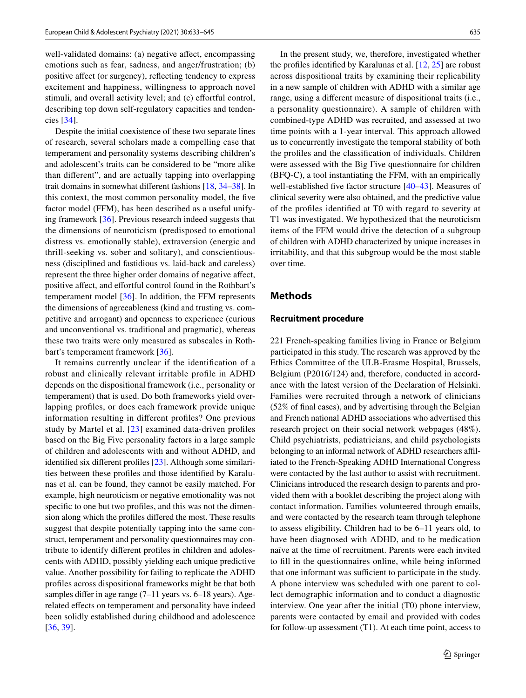well-validated domains: (a) negative affect, encompassing emotions such as fear, sadness, and anger/frustration; (b) positive afect (or surgency), refecting tendency to express excitement and happiness, willingness to approach novel stimuli, and overall activity level; and (c) effortful control, describing top down self-regulatory capacities and tendencies [[34\]](#page-12-24).

Despite the initial coexistence of these two separate lines of research, several scholars made a compelling case that temperament and personality systems describing children's and adolescent's traits can be considered to be "more alike than diferent", and are actually tapping into overlapping trait domains in somewhat diferent fashions [[18,](#page-12-10) [34–](#page-12-24)[38\]](#page-12-25). In this context, the most common personality model, the fve factor model (FFM), has been described as a useful unifying framework [[36](#page-12-26)]. Previous research indeed suggests that the dimensions of neuroticism (predisposed to emotional distress vs. emotionally stable), extraversion (energic and thrill-seeking vs. sober and solitary), and conscientiousness (disciplined and fastidious vs. laid-back and careless) represent the three higher order domains of negative afect, positive afect, and efortful control found in the Rothbart's temperament model [[36](#page-12-26)]. In addition, the FFM represents the dimensions of agreeableness (kind and trusting vs. competitive and arrogant) and openness to experience (curious and unconventional vs. traditional and pragmatic), whereas these two traits were only measured as subscales in Rothbart's temperament framework [[36\]](#page-12-26).

It remains currently unclear if the identifcation of a robust and clinically relevant irritable profle in ADHD depends on the dispositional framework (i.e., personality or temperament) that is used. Do both frameworks yield overlapping profles, or does each framework provide unique information resulting in diferent profles? One previous study by Martel et al. [[23](#page-12-14)] examined data-driven profles based on the Big Five personality factors in a large sample of children and adolescents with and without ADHD, and identifed six diferent profles [\[23\]](#page-12-14). Although some similarities between these profles and those identifed by Karalunas et al. can be found, they cannot be easily matched. For example, high neuroticism or negative emotionality was not specifc to one but two profles, and this was not the dimension along which the profles difered the most. These results suggest that despite potentially tapping into the same construct, temperament and personality questionnaires may contribute to identify diferent profles in children and adolescents with ADHD, possibly yielding each unique predictive value. Another possibility for failing to replicate the ADHD profles across dispositional frameworks might be that both samples differ in age range (7–11 years vs. 6–18 years). Agerelated efects on temperament and personality have indeed been solidly established during childhood and adolescence [\[36,](#page-12-26) [39\]](#page-12-27).

In the present study, we, therefore, investigated whether the profles identifed by Karalunas et al. [\[12](#page-12-5), [25\]](#page-12-16) are robust across dispositional traits by examining their replicability in a new sample of children with ADHD with a similar age range, using a diferent measure of dispositional traits (i.e., a personality questionnaire). A sample of children with combined-type ADHD was recruited, and assessed at two time points with a 1-year interval. This approach allowed us to concurrently investigate the temporal stability of both the profles and the classifcation of individuals. Children were assessed with the Big Five questionnaire for children (BFQ-C), a tool instantiating the FFM, with an empirically well-established fve factor structure [\[40](#page-12-28)[–43\]](#page-13-0). Measures of clinical severity were also obtained, and the predictive value of the profles identifed at T0 with regard to severity at T1 was investigated. We hypothesized that the neuroticism items of the FFM would drive the detection of a subgroup of children with ADHD characterized by unique increases in irritability, and that this subgroup would be the most stable over time.

# **Methods**

### **Recruitment procedure**

221 French-speaking families living in France or Belgium participated in this study. The research was approved by the Ethics Committee of the ULB-Erasme Hospital, Brussels, Belgium (P2016/124) and, therefore, conducted in accordance with the latest version of the Declaration of Helsinki. Families were recruited through a network of clinicians (52% of fnal cases), and by advertising through the Belgian and French national ADHD associations who advertised this research project on their social network webpages (48%). Child psychiatrists, pediatricians, and child psychologists belonging to an informal network of ADHD researchers affiliated to the French-Speaking ADHD International Congress were contacted by the last author to assist with recruitment. Clinicians introduced the research design to parents and provided them with a booklet describing the project along with contact information. Families volunteered through emails, and were contacted by the research team through telephone to assess eligibility. Children had to be 6–11 years old, to have been diagnosed with ADHD, and to be medication naïve at the time of recruitment. Parents were each invited to fll in the questionnaires online, while being informed that one informant was sufficient to participate in the study. A phone interview was scheduled with one parent to collect demographic information and to conduct a diagnostic interview. One year after the initial (T0) phone interview, parents were contacted by email and provided with codes for follow-up assessment (T1). At each time point, access to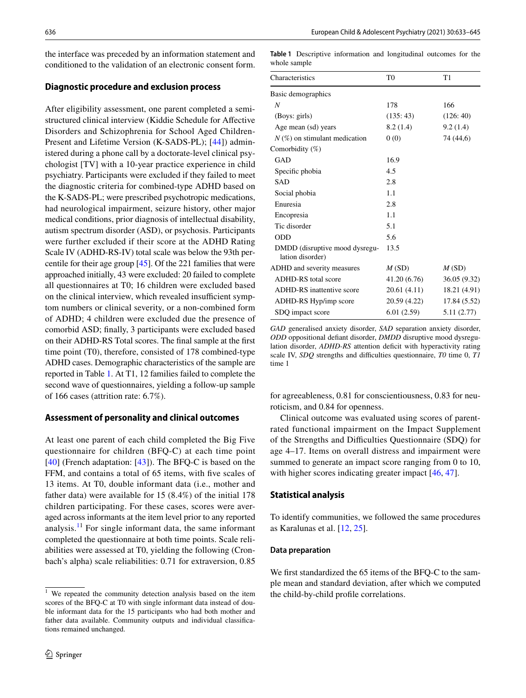the interface was preceded by an information statement and conditioned to the validation of an electronic consent form.

# **Diagnostic procedure and exclusion process**

After eligibility assessment, one parent completed a semistructured clinical interview (Kiddie Schedule for Afective Disorders and Schizophrenia for School Aged Children-Present and Lifetime Version (K-SADS-PL); [[44\]](#page-13-1)) administered during a phone call by a doctorate-level clinical psychologist [TV] with a 10-year practice experience in child psychiatry. Participants were excluded if they failed to meet the diagnostic criteria for combined-type ADHD based on the K-SADS-PL; were prescribed psychotropic medications, had neurological impairment, seizure history, other major medical conditions, prior diagnosis of intellectual disability, autism spectrum disorder (ASD), or psychosis. Participants were further excluded if their score at the ADHD Rating Scale IV (ADHD-RS-IV) total scale was below the 93th percentile for their age group [[45](#page-13-2)]. Of the 221 families that were approached initially, 43 were excluded: 20 failed to complete all questionnaires at T0; 16 children were excluded based on the clinical interview, which revealed insufficient symptom numbers or clinical severity, or a non-combined form of ADHD; 4 children were excluded due the presence of comorbid ASD; fnally, 3 participants were excluded based on their ADHD-RS Total scores. The fnal sample at the frst time point (T0), therefore, consisted of 178 combined-type ADHD cases. Demographic characteristics of the sample are reported in Table [1.](#page-4-0) At T1, 12 families failed to complete the second wave of questionnaires, yielding a follow-up sample of 166 cases (attrition rate: 6.7%).

# **Assessment of personality and clinical outcomes**

At least one parent of each child completed the Big Five questionnaire for children (BFQ-C) at each time point [\[40\]](#page-12-28) (French adaptation: [[43\]](#page-13-0)). The BFQ-C is based on the FFM, and contains a total of 65 items, with fve scales of 13 items. At T0, double informant data (i.e., mother and father data) were available for 15 (8.4%) of the initial 178 children participating. For these cases, scores were averaged across informants at the item level prior to any reported analysis.<sup>[1](#page-4-1)1</sup> For single informant data, the same informant completed the questionnaire at both time points. Scale reliabilities were assessed at T0, yielding the following (Cronbach's alpha) scale reliabilities: 0.71 for extraversion, 0.85

<span id="page-4-0"></span>**Table 1** Descriptive information and longitudinal outcomes for the whole sample

| Characteristics                                    | T0                   | T1           |  |  |
|----------------------------------------------------|----------------------|--------------|--|--|
| Basic demographics                                 |                      |              |  |  |
| N                                                  | 178                  | 166          |  |  |
| (Boys: girls)                                      | (135:43)             | (126: 40)    |  |  |
| Age mean (sd) years                                | 8.2(1.4)<br>9.2(1.4) |              |  |  |
| $N$ (%) on stimulant medication                    | 0(0)                 | 74 (44,6)    |  |  |
| Comorbidity $(\%)$                                 |                      |              |  |  |
| <b>GAD</b>                                         | 16.9                 |              |  |  |
| Specific phobia                                    | 4.5                  |              |  |  |
| <b>SAD</b>                                         | 2.8                  |              |  |  |
| Social phobia                                      | 1.1                  |              |  |  |
| Enuresia                                           | 2.8                  |              |  |  |
| Encopresia                                         | 1.1                  |              |  |  |
| Tic disorder                                       | 5.1                  |              |  |  |
| <b>ODD</b>                                         | 5.6                  |              |  |  |
| DMDD (disruptive mood dysregu-<br>lation disorder) | 13.5                 |              |  |  |
| ADHD and severity measures                         | M(SD)                | M(SD)        |  |  |
| <b>ADHD-RS</b> total score                         | 41.20 (6.76)         | 36.05 (9.32) |  |  |
| ADHD-RS inattentive score                          | 20.61 (4.11)         | 18.21 (4.91) |  |  |
| ADHD-RS Hyp/imp score                              | 20.59 (4.22)         | 17.84 (5.52) |  |  |
| SDQ impact score                                   | 6.01(2.59)           | 5.11(2.77)   |  |  |

*GAD* generalised anxiety disorder, *SAD* separation anxiety disorder, *ODD* oppositional defant disorder, *DMDD* disruptive mood dysregulation disorder, *ADHD-RS* attention deficit with hyperactivity rating scale IV, *SDQ* strengths and difficulties questionnaire, *T0* time 0, *T1* time 1

for agreeableness, 0.81 for conscientiousness, 0.83 for neuroticism, and 0.84 for openness.

Clinical outcome was evaluated using scores of parentrated functional impairment on the Impact Supplement of the Strengths and Difficulties Questionnaire (SDQ) for age 4–17. Items on overall distress and impairment were summed to generate an impact score ranging from 0 to 10, with higher scores indicating greater impact [\[46,](#page-13-3) [47\]](#page-13-4).

## **Statistical analysis**

To identify communities, we followed the same procedures as Karalunas et al. [[12,](#page-12-5) [25\]](#page-12-16).

## **Data preparation**

We first standardized the 65 items of the BFQ-C to the sample mean and standard deviation, after which we computed the child-by-child profle correlations.

<span id="page-4-1"></span><sup>&</sup>lt;sup>1</sup> We repeated the community detection analysis based on the item scores of the BFQ-C at T0 with single informant data instead of double informant data for the 15 participants who had both mother and father data available. Community outputs and individual classifcations remained unchanged.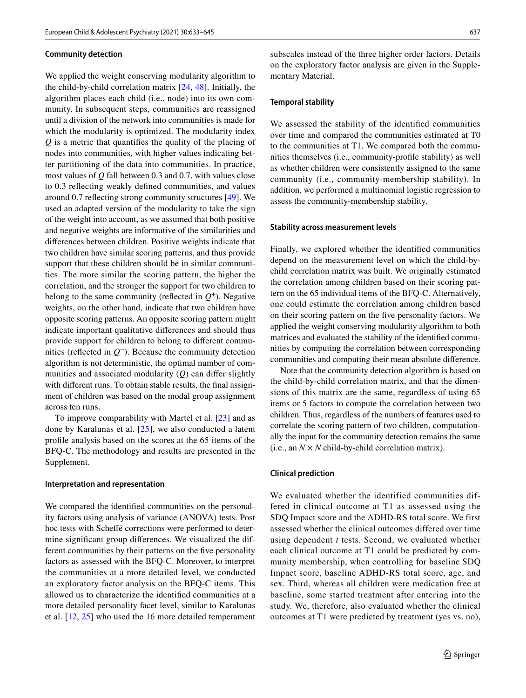#### **Community detection**

We applied the weight conserving modularity algorithm to the child-by-child correlation matrix [[24,](#page-12-15) [48](#page-13-5)]. Initially, the algorithm places each child (i.e., node) into its own community. In subsequent steps, communities are reassigned until a division of the network into communities is made for which the modularity is optimized. The modularity index *Q* is a metric that quantifes the quality of the placing of nodes into communities, with higher values indicating better partitioning of the data into communities. In practice, most values of *Q* fall between 0.3 and 0.7, with values close to 0.3 refecting weakly defned communities, and values around 0.7 refecting strong community structures [[49\]](#page-13-6). We used an adapted version of the modularity to take the sign of the weight into account, as we assumed that both positive and negative weights are informative of the similarities and diferences between children. Positive weights indicate that two children have similar scoring patterns, and thus provide support that these children should be in similar communities. The more similar the scoring pattern, the higher the correlation, and the stronger the support for two children to belong to the same community (reflected in  $Q^+$ ). Negative weights, on the other hand, indicate that two children have opposite scoring patterns. An opposite scoring pattern might indicate important qualitative diferences and should thus provide support for children to belong to diferent communities (refected in *Q*−). Because the community detection algorithm is not deterministic, the optimal number of communities and associated modularity (*Q*) can difer slightly with diferent runs. To obtain stable results, the fnal assignment of children was based on the modal group assignment across ten runs.

To improve comparability with Martel et al. [\[23](#page-12-14)] and as done by Karalunas et al. [\[25](#page-12-16)], we also conducted a latent profle analysis based on the scores at the 65 items of the BFQ-C. The methodology and results are presented in the Supplement.

#### **Interpretation and representation**

We compared the identifed communities on the personality factors using analysis of variance (ANOVA) tests. Post hoc tests with Schefé corrections were performed to determine signifcant group diferences. We visualized the different communities by their patterns on the fve personality factors as assessed with the BFQ-C. Moreover, to interpret the communities at a more detailed level, we conducted an exploratory factor analysis on the BFQ-C items. This allowed us to characterize the identifed communities at a more detailed personality facet level, similar to Karalunas et al. [[12](#page-12-5), [25\]](#page-12-16) who used the 16 more detailed temperament subscales instead of the three higher order factors. Details on the exploratory factor analysis are given in the Supplementary Material.

#### **Temporal stability**

We assessed the stability of the identifed communities over time and compared the communities estimated at T0 to the communities at T1. We compared both the communities themselves (i.e., community-profle stability) as well as whether children were consistently assigned to the same community (i.e., community-membership stability). In addition, we performed a multinomial logistic regression to assess the community-membership stability.

#### **Stability across measurement levels**

Finally, we explored whether the identifed communities depend on the measurement level on which the child-bychild correlation matrix was built. We originally estimated the correlation among children based on their scoring pattern on the 65 individual items of the BFQ-C. Alternatively, one could estimate the correlation among children based on their scoring pattern on the fve personality factors. We applied the weight conserving modularity algorithm to both matrices and evaluated the stability of the identifed communities by computing the correlation between corresponding communities and computing their mean absolute diference.

Note that the community detection algorithm is based on the child-by-child correlation matrix, and that the dimensions of this matrix are the same, regardless of using 65 items or 5 factors to compute the correlation between two children. Thus, regardless of the numbers of features used to correlate the scoring pattern of two children, computationally the input for the community detection remains the same (i.e., an  $N \times N$  child-by-child correlation matrix).

#### **Clinical prediction**

We evaluated whether the identified communities differed in clinical outcome at T1 as assessed using the SDQ Impact score and the ADHD-RS total score. We first assessed whether the clinical outcomes differed over time using dependent *t* tests. Second, we evaluated whether each clinical outcome at T1 could be predicted by community membership, when controlling for baseline SDQ Impact score, baseline ADHD-RS total score, age, and sex. Third, whereas all children were medication free at baseline, some started treatment after entering into the study. We, therefore, also evaluated whether the clinical outcomes at T1 were predicted by treatment (yes vs. no),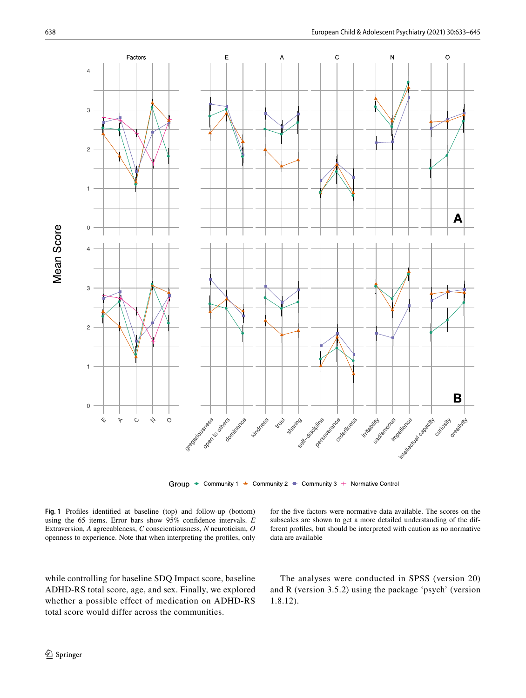

Group + Community 1 + Community 2 + Community 3 + Normative Control

<span id="page-6-0"></span>**Fig. 1** Profles identifed at baseline (top) and follow-up (bottom) using the 65 items. Error bars show 95% confdence intervals. *E* Extraversion, *A* agreeableness, *C* conscientiousness, *N* neuroticism, *O* openness to experience. Note that when interpreting the profles, only for the fve factors were normative data available. The scores on the subscales are shown to get a more detailed understanding of the different profles, but should be interpreted with caution as no normative data are available

while controlling for baseline SDQ Impact score, baseline ADHD-RS total score, age, and sex. Finally, we explored whether a possible effect of medication on ADHD-RS total score would differ across the communities.

The analyses were conducted in SPSS (version 20) and R (version 3.5.2) using the package 'psych' (version 1.8.12).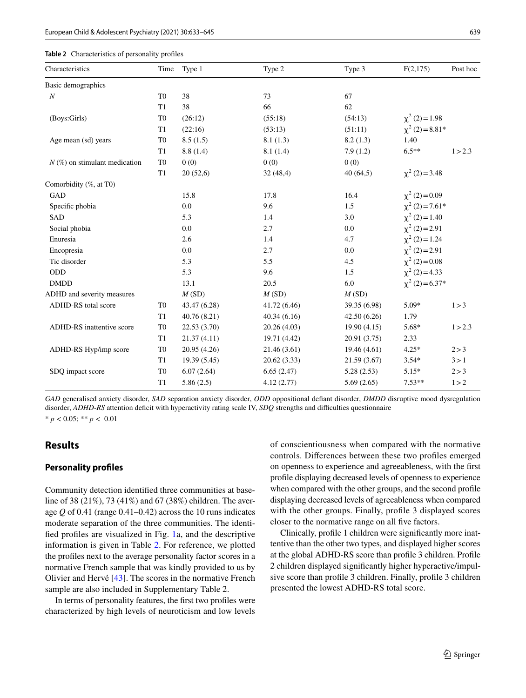<span id="page-7-0"></span>

| <b>Table 2</b> Characteristics of personality profiles |  |
|--------------------------------------------------------|--|
|--------------------------------------------------------|--|

| Characteristics                 | Time           | Type 1       | Type 2       | Type 3       | F(2,175)             | Post hoc |
|---------------------------------|----------------|--------------|--------------|--------------|----------------------|----------|
| Basic demographics              |                |              |              |              |                      |          |
| $\boldsymbol{N}$                | T <sub>0</sub> | 38           | 73           | 67           |                      |          |
|                                 | T1             | 38           | 66           | 62           |                      |          |
| (Boys:Girls)                    | T <sub>0</sub> | (26:12)      | (55:18)      | (54:13)      | $\chi^2(2) = 1.98$   |          |
|                                 | T1             | (22:16)      | (53:13)      | (51:11)      | $\chi^2$ (2) = 8.81* |          |
| Age mean (sd) years             | T <sub>0</sub> | 8.5(1.5)     | 8.1(1.3)     | 8.2(1.3)     | 1.40                 |          |
|                                 | T1             | 8.8(1.4)     | 8.1(1.4)     | 7.9(1.2)     | $6.5**$              | 1 > 2.3  |
| $N(\%)$ on stimulant medication | T <sub>0</sub> | 0(0)         | 0(0)         | 0(0)         |                      |          |
|                                 | T1             | 20(52,6)     | 32 (48,4)    | 40(64,5)     | $\chi^2$ (2) = 3.48  |          |
| Comorbidity (%, at T0)          |                |              |              |              |                      |          |
| GAD                             |                | 15.8         | 17.8         | 16.4         | $\chi^2$ (2) = 0.09  |          |
| Specific phobia                 |                | 0.0          | 9.6          | 1.5          | $\chi^2$ (2)=7.61*   |          |
| <b>SAD</b>                      |                | 5.3          | 1.4          | 3.0          | $\chi^2(2) = 1.40$   |          |
| Social phobia                   |                | 0.0          | 2.7          | 0.0          | $\chi^2(2) = 2.91$   |          |
| Enuresia                        |                | 2.6          | 1.4          | 4.7          | $\chi^2(2) = 1.24$   |          |
| Encopresia                      |                | 0.0          | 2.7          | 0.0          | $\chi^2(2) = 2.91$   |          |
| Tic disorder                    |                | 5.3          | 5.5          | 4.5          | $\chi^2(2)=0.08$     |          |
| ODD                             |                | 5.3          | 9.6          | 1.5          | $\chi^2(2) = 4.33$   |          |
| <b>DMDD</b>                     |                | 13.1         | 20.5         | 6.0          | $\chi^2$ (2) = 6.37* |          |
| ADHD and severity measures      |                | M(SD)        | M(SD)        | M(SD)        |                      |          |
| ADHD-RS total score             | T <sub>0</sub> | 43.47 (6.28) | 41.72 (6.46) | 39.35 (6.98) | 5.09*                | 1 > 3    |
|                                 | T1             | 40.76 (8.21) | 40.34(6.16)  | 42.50 (6.26) | 1.79                 |          |
| ADHD-RS inattentive score       | T <sub>0</sub> | 22.53 (3.70) | 20.26(4.03)  | 19.90(4.15)  | 5.68*                | 1 > 2.3  |
|                                 | T1             | 21.37(4.11)  | 19.71 (4.42) | 20.91 (3.75) | 2.33                 |          |
| ADHD-RS Hyp/imp score           | T <sub>0</sub> | 20.95 (4.26) | 21.46 (3.61) | 19.46 (4.61) | $4.25*$              | 2 > 3    |
|                                 | T1             | 19.39 (5.45) | 20.62(3.33)  | 21.59 (3.67) | $3.54*$              | 3 > 1    |
| SDQ impact score                | T <sub>0</sub> | 6.07(2.64)   | 6.65(2.47)   | 5.28(2.53)   | $5.15*$              | 2 > 3    |
|                                 | T1             | 5.86(2.5)    | 4.12(2.77)   | 5.69(2.65)   | $7.53**$             | 1 > 2    |

*GAD* generalised anxiety disorder, *SAD* separation anxiety disorder, *ODD* oppositional defant disorder, *DMDD* disruptive mood dysregulation disorder, *ADHD-RS* attention defcit with hyperactivity rating scale IV, *SDQ* strengths and difculties questionnaire

\* *p* < 0.05; \*\* *p* < 0.01

# **Results**

# **Personality profles**

Community detection identifed three communities at baseline of 38 (21%), 73 (41%) and 67 (38%) children. The average *Q* of 0.41 (range 0.41–0.42) across the 10 runs indicates moderate separation of the three communities. The identifed profles are visualized in Fig. [1a](#page-6-0), and the descriptive information is given in Table [2.](#page-7-0) For reference, we plotted the profles next to the average personality factor scores in a normative French sample that was kindly provided to us by Olivier and Hervé [\[43](#page-13-0)]. The scores in the normative French sample are also included in Supplementary Table 2.

In terms of personality features, the frst two profles were characterized by high levels of neuroticism and low levels

of conscientiousness when compared with the normative controls. Diferences between these two profles emerged on openness to experience and agreeableness, with the frst profle displaying decreased levels of openness to experience when compared with the other groups, and the second profle displaying decreased levels of agreeableness when compared with the other groups. Finally, profile 3 displayed scores closer to the normative range on all fve factors.

Clinically, profle 1 children were signifcantly more inattentive than the other two types, and displayed higher scores at the global ADHD-RS score than profle 3 children. Profle 2 children displayed signifcantly higher hyperactive/impulsive score than profle 3 children. Finally, profle 3 children presented the lowest ADHD-RS total score.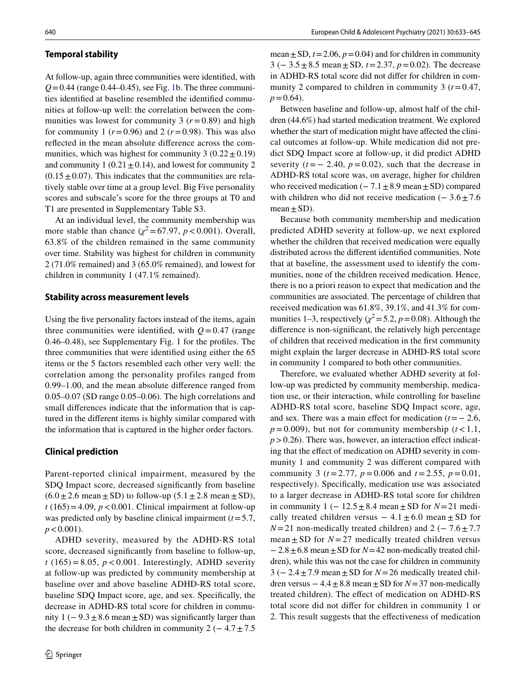### **Temporal stability**

At follow-up, again three communities were identifed, with  $Q=0.44$  (range  $0.44-0.45$ ), see Fig. [1](#page-6-0)b. The three communities identifed at baseline resembled the identifed communities at follow-up well: the correlation between the communities was lowest for community 3  $(r=0.89)$  and high for community 1 ( $r=0.96$ ) and 2 ( $r=0.98$ ). This was also refected in the mean absolute diference across the communities, which was highest for community 3 ( $0.22 \pm 0.19$ ) and community 1 (0.21 $\pm$ 0.14), and lowest for community 2  $(0.15 \pm 0.07)$ . This indicates that the communities are relatively stable over time at a group level. Big Five personality scores and subscale's score for the three groups at T0 and T1 are presented in Supplementary Table S3.

At an individual level, the community membership was more stable than chance ( $\chi^2$  = 67.97, *p* < 0.001). Overall, 63.8% of the children remained in the same community over time. Stability was highest for children in community 2 (71.0% remained) and 3 (65.0% remained), and lowest for children in community 1 (47.1% remained).

### **Stability across measurement levels**

Using the fve personality factors instead of the items, again three communities were identified, with  $Q = 0.47$  (range 0.46–0.48), see Supplementary Fig. 1 for the profles. The three communities that were identifed using either the 65 items or the 5 factors resembled each other very well: the correlation among the personality profiles ranged from 0.99–1.00, and the mean absolute diference ranged from 0.05–0.07 (SD range 0.05–0.06). The high correlations and small diferences indicate that the information that is captured in the diferent items is highly similar compared with the information that is captured in the higher order factors.

# **Clinical prediction**

Parent-reported clinical impairment, measured by the SDQ Impact score, decreased signifcantly from baseline  $(6.0 \pm 2.6 \text{ mean} \pm \text{SD})$  to follow-up  $(5.1 \pm 2.8 \text{ mean} \pm \text{SD})$ ,  $t(165)=4.09$ ,  $p < 0.001$ . Clinical impairment at follow-up was predicted only by baseline clinical impairment  $(t=5.7)$ ,  $p < 0.001$ ).

ADHD severity, measured by the ADHD-RS total score, decreased signifcantly from baseline to follow-up,  $t(165) = 8.05$ ,  $p < 0.001$ . Interestingly, ADHD severity at follow-up was predicted by community membership at baseline over and above baseline ADHD-RS total score, baseline SDQ Impact score, age, and sex. Specifcally, the decrease in ADHD-RS total score for children in community 1 (− 9.3  $\pm$  8.6 mean  $\pm$  SD) was significantly larger than the decrease for both children in community 2 ( $-4.7 \pm 7.5$  mean  $\pm$  SD,  $t$  = 2.06,  $p$  = 0.04) and for children in community 3 (− 3.5±8.5 mean±SD, *t*=2.37, *p*=0.02). The decrease in ADHD-RS total score did not difer for children in community 2 compared to children in community 3  $(t=0.47)$ ,  $p = 0.64$ .

Between baseline and follow-up, almost half of the children (44.6%) had started medication treatment. We explored whether the start of medication might have affected the clinical outcomes at follow-up. While medication did not predict SDQ Impact score at follow-up, it did predict ADHD severity  $(t=- 2.40, p=0.02)$ , such that the decrease in ADHD-RS total score was, on average, higher for children who received medication  $(-7.1 \pm 8.9 \text{ mean} \pm \text{SD})$  compared with children who did not receive medication  $(-3.6 \pm 7.6)$ mean  $\pm$  SD).

Because both community membership and medication predicted ADHD severity at follow-up, we next explored whether the children that received medication were equally distributed across the diferent identifed communities. Note that at baseline, the assessment used to identify the communities, none of the children received medication. Hence, there is no a priori reason to expect that medication and the communities are associated. The percentage of children that received medication was 61.8%, 39.1%, and 41.3% for communities 1–3, respectively ( $\chi^2$  = 5.2, *p* = 0.08). Although the diference is non-signifcant, the relatively high percentage of children that received medication in the frst community might explain the larger decrease in ADHD-RS total score in community 1 compared to both other communities.

Therefore, we evaluated whether ADHD severity at follow-up was predicted by community membership, medication use, or their interaction, while controlling for baseline ADHD-RS total score, baseline SDQ Impact score, age, and sex. There was a main efect for medication (*t*=− 2.6,  $p = 0.009$ ), but not for community membership  $(t < 1.1,$  $p > 0.26$ ). There was, however, an interaction effect indicating that the efect of medication on ADHD severity in community 1 and community 2 was diferent compared with community 3 ( $t = 2.77$ ,  $p = 0.006$  and  $t = 2.55$ ,  $p = 0.01$ , respectively). Specifcally, medication use was associated to a larger decrease in ADHD-RS total score for children in community  $1$  ( $-12.5 \pm 8.4$  mean  $\pm$  SD for  $N = 21$  medically treated children versus  $-4.1 \pm 6.0$  mean  $\pm$  SD for  $N=21$  non-medically treated children) and 2 (− 7.6  $\pm$  7.7 mean  $\pm$  SD for *N* = 27 medically treated children versus − 2.8±6.8 mean±SD for *N*=42 non-medically treated children), while this was not the case for children in community 3 (− 2.4±7.9 mean±SD for *N*=26 medically treated children versus  $-4.4 \pm 8.8$  mean  $\pm$  SD for *N* = 37 non-medically treated children). The efect of medication on ADHD-RS total score did not difer for children in community 1 or 2. This result suggests that the efectiveness of medication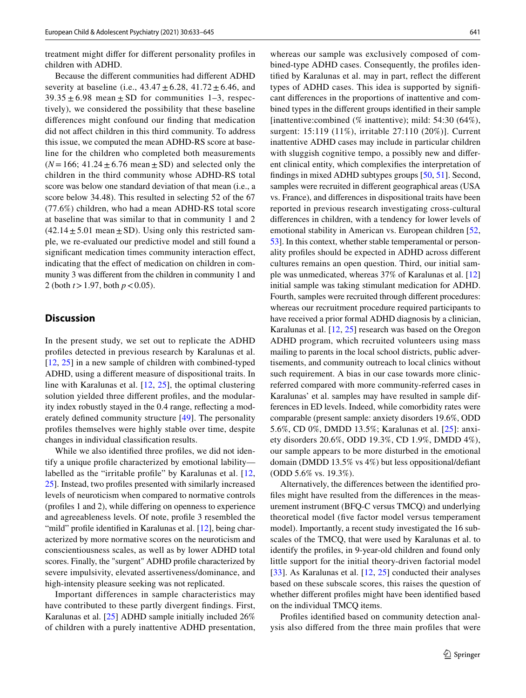treatment might difer for diferent personality profles in children with ADHD.

Because the diferent communities had diferent ADHD severity at baseline (i.e.,  $43.47 \pm 6.28$ ,  $41.72 \pm 6.46$ , and  $39.35 \pm 6.98$  mean  $\pm$  SD for communities 1–3, respectively), we considered the possibility that these baseline diferences might confound our fnding that medication did not afect children in this third community. To address this issue, we computed the mean ADHD-RS score at baseline for the children who completed both measurements  $(N=166; 41.24 \pm 6.76$  mean  $\pm$  SD) and selected only the children in the third community whose ADHD-RS total score was below one standard deviation of that mean (i.e., a score below 34.48). This resulted in selecting 52 of the 67 (77.6%) children, who had a mean ADHD-RS total score at baseline that was similar to that in community 1 and 2  $(42.14 \pm 5.01 \text{ mean} \pm \text{SD})$ . Using only this restricted sample, we re-evaluated our predictive model and still found a significant medication times community interaction effect, indicating that the effect of medication on children in community 3 was diferent from the children in community 1 and 2 (both *t*>1.97, both *p*<0.05).

# **Discussion**

In the present study, we set out to replicate the ADHD profles detected in previous research by Karalunas et al. [\[12,](#page-12-5) [25](#page-12-16)] in a new sample of children with combined-typed ADHD, using a diferent measure of dispositional traits. In line with Karalunas et al. [[12](#page-12-5), [25\]](#page-12-16), the optimal clustering solution yielded three diferent profles, and the modularity index robustly stayed in the 0.4 range, refecting a moderately defned community structure [[49](#page-13-6)]. The personality profles themselves were highly stable over time, despite changes in individual classifcation results.

While we also identified three profiles, we did not identify a unique profle characterized by emotional lability— labelled as the "irritable profile" by Karalunas et al. [\[12,](#page-12-5) [25](#page-12-16)]. Instead, two profles presented with similarly increased levels of neuroticism when compared to normative controls (profles 1 and 2), while difering on openness to experience and agreeableness levels. Of note, profle 3 resembled the "mild" profile identified in Karalunas et al. [\[12](#page-12-5)], being characterized by more normative scores on the neuroticism and conscientiousness scales, as well as by lower ADHD total scores. Finally, the "surgent" ADHD profle characterized by severe impulsivity, elevated assertiveness/dominance, and high-intensity pleasure seeking was not replicated.

Important differences in sample characteristics may have contributed to these partly divergent fndings. First, Karalunas et al. [[25\]](#page-12-16) ADHD sample initially included 26% of children with a purely inattentive ADHD presentation,

whereas our sample was exclusively composed of combined-type ADHD cases. Consequently, the profles identifed by Karalunas et al. may in part, refect the diferent types of ADHD cases. This idea is supported by signifcant diferences in the proportions of inattentive and combined types in the diferent groups identifed in their sample [inattentive:combined (% inattentive); mild: 54:30 (64%), surgent: 15:119 (11%), irritable 27:110 (20%)]. Current inattentive ADHD cases may include in particular children with sluggish cognitive tempo, a possibly new and diferent clinical entity, which complexifes the interpretation of fndings in mixed ADHD subtypes groups [\[50](#page-13-7), [51](#page-13-8)]. Second, samples were recruited in diferent geographical areas (USA vs. France), and diferences in dispositional traits have been reported in previous research investigating cross-cultural diferences in children, with a tendency for lower levels of emotional stability in American vs. European children [[52,](#page-13-9) [53](#page-13-10)]. In this context, whether stable temperamental or personality profles should be expected in ADHD across diferent cultures remains an open question. Third, our initial sample was unmedicated, whereas 37% of Karalunas et al. [[12\]](#page-12-5) initial sample was taking stimulant medication for ADHD. Fourth, samples were recruited through diferent procedures: whereas our recruitment procedure required participants to have received a prior formal ADHD diagnosis by a clinician, Karalunas et al. [\[12](#page-12-5), [25\]](#page-12-16) research was based on the Oregon ADHD program, which recruited volunteers using mass mailing to parents in the local school districts, public advertisements, and community outreach to local clinics without such requirement. A bias in our case towards more clinicreferred compared with more community-referred cases in Karalunas' et al. samples may have resulted in sample differences in ED levels. Indeed, while comorbidity rates were comparable (present sample: anxiety disorders 19.6%, ODD 5.6%, CD 0%, DMDD 13.5%; Karalunas et al. [[25\]](#page-12-16): anxiety disorders 20.6%, ODD 19.3%, CD 1.9%, DMDD 4%), our sample appears to be more disturbed in the emotional domain (DMDD 13.5% vs 4%) but less oppositional/defant (ODD 5.6% vs. 19.3%).

Alternatively, the diferences between the identifed profles might have resulted from the diferences in the measurement instrument (BFQ-C versus TMCQ) and underlying theoretical model (fve factor model versus temperament model). Importantly, a recent study investigated the 16 subscales of the TMCQ, that were used by Karalunas et al. to identify the profles, in 9-year-old children and found only little support for the initial theory-driven factorial model [[33\]](#page-12-23). As Karalunas et al. [[12,](#page-12-5) [25](#page-12-16)] conducted their analyses based on these subscale scores, this raises the question of whether diferent profles might have been identifed based on the individual TMCQ items.

Profles identifed based on community detection analysis also difered from the three main profles that were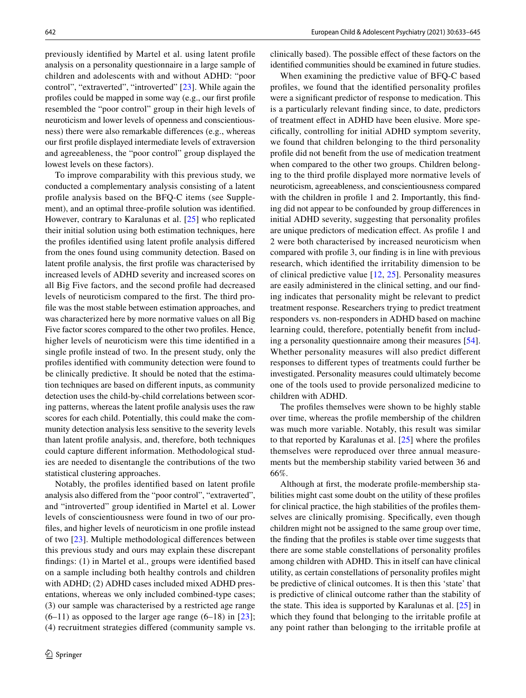previously identifed by Martel et al. using latent profle analysis on a personality questionnaire in a large sample of children and adolescents with and without ADHD: "poor control", "extraverted", "introverted" [[23](#page-12-14)]. While again the profles could be mapped in some way (e.g., our frst profle resembled the "poor control" group in their high levels of neuroticism and lower levels of openness and conscientiousness) there were also remarkable diferences (e.g., whereas our frst profle displayed intermediate levels of extraversion and agreeableness, the "poor control" group displayed the lowest levels on these factors).

To improve comparability with this previous study, we conducted a complementary analysis consisting of a latent profle analysis based on the BFQ-C items (see Supplement), and an optimal three-profle solution was identifed. However, contrary to Karalunas et al. [[25](#page-12-16)] who replicated their initial solution using both estimation techniques, here the profles identifed using latent profle analysis difered from the ones found using community detection. Based on latent profle analysis, the frst profle was characterised by increased levels of ADHD severity and increased scores on all Big Five factors, and the second profle had decreased levels of neuroticism compared to the frst. The third profle was the most stable between estimation approaches, and was characterized here by more normative values on all Big Five factor scores compared to the other two profles. Hence, higher levels of neuroticism were this time identifed in a single profle instead of two. In the present study, only the profles identifed with community detection were found to be clinically predictive. It should be noted that the estimation techniques are based on diferent inputs, as community detection uses the child-by-child correlations between scoring patterns, whereas the latent profle analysis uses the raw scores for each child. Potentially, this could make the community detection analysis less sensitive to the severity levels than latent profle analysis, and, therefore, both techniques could capture diferent information. Methodological studies are needed to disentangle the contributions of the two statistical clustering approaches.

Notably, the profles identifed based on latent profle analysis also difered from the "poor control", "extraverted", and "introverted" group identifed in Martel et al. Lower levels of conscientiousness were found in two of our profles, and higher levels of neuroticism in one profle instead of two [[23](#page-12-14)]. Multiple methodological diferences between this previous study and ours may explain these discrepant fndings: (1) in Martel et al., groups were identifed based on a sample including both healthy controls and children with ADHD; (2) ADHD cases included mixed ADHD presentations, whereas we only included combined-type cases; (3) our sample was characterised by a restricted age range  $(6-11)$  as opposed to the larger age range  $(6-18)$  in [[23\]](#page-12-14); (4) recruitment strategies difered (community sample vs.

clinically based). The possible efect of these factors on the identifed communities should be examined in future studies.

When examining the predictive value of BFQ-C based profles, we found that the identifed personality profles were a signifcant predictor of response to medication. This is a particularly relevant fnding since, to date, predictors of treatment efect in ADHD have been elusive. More specifcally, controlling for initial ADHD symptom severity, we found that children belonging to the third personality profle did not beneft from the use of medication treatment when compared to the other two groups. Children belonging to the third profle displayed more normative levels of neuroticism, agreeableness, and conscientiousness compared with the children in profile 1 and 2. Importantly, this finding did not appear to be confounded by group diferences in initial ADHD severity, suggesting that personality profles are unique predictors of medication efect. As profle 1 and 2 were both characterised by increased neuroticism when compared with profle 3, our fnding is in line with previous research, which identifed the irritability dimension to be of clinical predictive value [[12,](#page-12-5) [25\]](#page-12-16). Personality measures are easily administered in the clinical setting, and our fnding indicates that personality might be relevant to predict treatment response. Researchers trying to predict treatment responders vs. non-responders in ADHD based on machine learning could, therefore, potentially beneft from including a personality questionnaire among their measures [\[54](#page-13-11)]. Whether personality measures will also predict diferent responses to diferent types of treatments could further be investigated. Personality measures could ultimately become one of the tools used to provide personalized medicine to children with ADHD.

The profles themselves were shown to be highly stable over time, whereas the profle membership of the children was much more variable. Notably, this result was similar to that reported by Karalunas et al. [[25\]](#page-12-16) where the profles themselves were reproduced over three annual measurements but the membership stability varied between 36 and 66%.

Although at frst, the moderate profle-membership stabilities might cast some doubt on the utility of these profles for clinical practice, the high stabilities of the profles themselves are clinically promising. Specifcally, even though children might not be assigned to the same group over time, the fnding that the profles is stable over time suggests that there are some stable constellations of personality profles among children with ADHD. This in itself can have clinical utility, as certain constellations of personality profles might be predictive of clinical outcomes. It is then this 'state' that is predictive of clinical outcome rather than the stability of the state. This idea is supported by Karalunas et al. [\[25](#page-12-16)] in which they found that belonging to the irritable profile at any point rather than belonging to the irritable profle at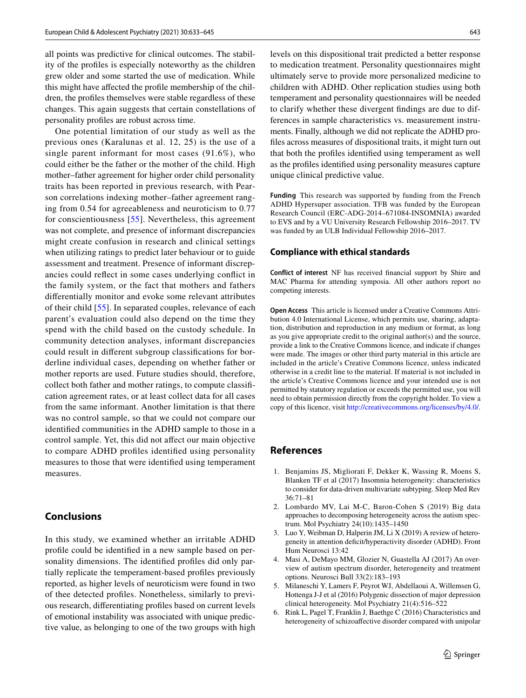all points was predictive for clinical outcomes. The stability of the profles is especially noteworthy as the children grew older and some started the use of medication. While this might have afected the profle membership of the children, the profles themselves were stable regardless of these changes. This again suggests that certain constellations of personality profles are robust across time.

One potential limitation of our study as well as the previous ones (Karalunas et al. 12, 25) is the use of a single parent informant for most cases (91.6%), who could either be the father or the mother of the child. High mother–father agreement for higher order child personality traits has been reported in previous research, with Pearson correlations indexing mother–father agreement ranging from 0.54 for agreeableness and neuroticism to 0.77 for conscientiousness [[55](#page-13-12)]. Nevertheless, this agreement was not complete, and presence of informant discrepancies might create confusion in research and clinical settings when utilizing ratings to predict later behaviour or to guide assessment and treatment. Presence of informant discrepancies could refect in some cases underlying confict in the family system, or the fact that mothers and fathers diferentially monitor and evoke some relevant attributes of their child [[55](#page-13-12)]. In separated couples, relevance of each parent's evaluation could also depend on the time they spend with the child based on the custody schedule. In community detection analyses, informant discrepancies could result in diferent subgroup classifcations for borderline individual cases, depending on whether father or mother reports are used. Future studies should, therefore, collect both father and mother ratings, to compute classifcation agreement rates, or at least collect data for all cases from the same informant. Another limitation is that there was no control sample, so that we could not compare our identifed communities in the ADHD sample to those in a control sample. Yet, this did not afect our main objective to compare ADHD profles identifed using personality measures to those that were identifed using temperament measures.

# **Conclusions**

In this study, we examined whether an irritable ADHD profle could be identifed in a new sample based on personality dimensions. The identified profiles did only partially replicate the temperament-based profles previously reported, as higher levels of neuroticism were found in two of thee detected profles. Nonetheless, similarly to previous research, diferentiating profles based on current levels of emotional instability was associated with unique predictive value, as belonging to one of the two groups with high levels on this dispositional trait predicted a better response to medication treatment. Personality questionnaires might ultimately serve to provide more personalized medicine to children with ADHD. Other replication studies using both temperament and personality questionnaires will be needed to clarify whether these divergent fndings are due to differences in sample characteristics vs. measurement instruments. Finally, although we did not replicate the ADHD profles across measures of dispositional traits, it might turn out that both the profles identifed using temperament as well as the profles identifed using personality measures capture unique clinical predictive value.

**Funding** This research was supported by funding from the French ADHD Hypersuper association. TFB was funded by the European Research Council (ERC-ADG-2014–671084-INSOMNIA) awarded to EVS and by a VU University Research Fellowship 2016–2017. TV was funded by an ULB Individual Fellowship 2016–2017.

#### **Compliance with ethical standards**

**Conflict of interest** NF has received fnancial support by Shire and MAC Pharma for attending symposia. All other authors report no competing interests.

**Open Access** This article is licensed under a Creative Commons Attribution 4.0 International License, which permits use, sharing, adaptation, distribution and reproduction in any medium or format, as long as you give appropriate credit to the original author(s) and the source, provide a link to the Creative Commons licence, and indicate if changes were made. The images or other third party material in this article are included in the article's Creative Commons licence, unless indicated otherwise in a credit line to the material. If material is not included in the article's Creative Commons licence and your intended use is not permitted by statutory regulation or exceeds the permitted use, you will need to obtain permission directly from the copyright holder. To view a copy of this licence, visit<http://creativecommons.org/licenses/by/4.0/>.

# **References**

- <span id="page-11-0"></span>1. Benjamins JS, Migliorati F, Dekker K, Wassing R, Moens S, Blanken TF et al (2017) Insomnia heterogeneity: characteristics to consider for data-driven multivariate subtyping. Sleep Med Rev 36:71–81
- 2. Lombardo MV, Lai M-C, Baron-Cohen S (2019) Big data approaches to decomposing heterogeneity across the autism spectrum. Mol Psychiatry 24(10):1435–1450
- <span id="page-11-2"></span>3. Luo Y, Weibman D, Halperin JM, Li X (2019) A review of heterogeneity in attention deficit/hyperactivity disorder (ADHD). Front Hum Neurosci 13:42
- 4. Masi A, DeMayo MM, Glozier N, Guastella AJ (2017) An overview of autism spectrum disorder, heterogeneity and treatment options. Neurosci Bull 33(2):183–193
- 5. Milaneschi Y, Lamers F, Peyrot WJ, Abdellaoui A, Willemsen G, Hottenga J-J et al (2016) Polygenic dissection of major depression clinical heterogeneity. Mol Psychiatry 21(4):516–522
- <span id="page-11-1"></span>6. Rink L, Pagel T, Franklin J, Baethge C (2016) Characteristics and heterogeneity of schizoaffective disorder compared with unipolar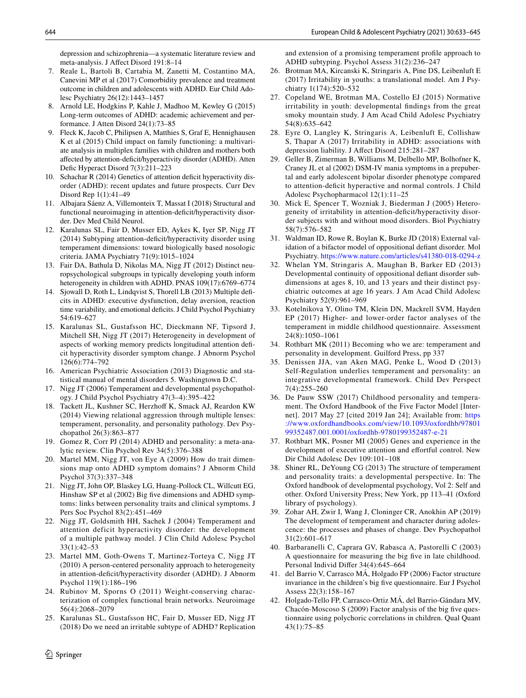depression and schizophrenia—a systematic literature review and meta-analysis. J Afect Disord 191:8–14

- <span id="page-12-0"></span>7. Reale L, Bartoli B, Cartabia M, Zanetti M, Costantino MA, Canevini MP et al (2017) Comorbidity prevalence and treatment outcome in children and adolescents with ADHD. Eur Child Adolesc Psychiatry 26(12):1443–1457
- <span id="page-12-1"></span>8. Arnold LE, Hodgkins P, Kahle J, Madhoo M, Kewley G (2015) Long-term outcomes of ADHD: academic achievement and performance. J Atten Disord 24(1):73–85
- <span id="page-12-2"></span>9. Fleck K, Jacob C, Philipsen A, Matthies S, Graf E, Hennighausen K et al (2015) Child impact on family functioning: a multivariate analysis in multiplex families with children and mothers both affected by attention-deficit/hyperactivity disorder (ADHD). Atten Defic Hyperact Disord 7(3):211-223
- <span id="page-12-3"></span>10. Schachar R (2014) Genetics of attention deficit hyperactivity disorder (ADHD): recent updates and future prospects. Curr Dev Disord Rep 1(1):41–49
- <span id="page-12-4"></span>11. Albajara Sáenz A, Villemonteix T, Massat I (2018) Structural and functional neuroimaging in attention-deficit/hyperactivity disorder. Dev Med Child Neurol.
- <span id="page-12-5"></span>12. Karalunas SL, Fair D, Musser ED, Aykes K, Iyer SP, Nigg JT (2014) Subtyping attention-deficit/hyperactivity disorder using temperament dimensions: toward biologically based nosologic criteria. JAMA Psychiatry 71(9):1015–1024
- <span id="page-12-6"></span>13. Fair DA, Bathula D, Nikolas MA, Nigg JT (2012) Distinct neuropsychological subgroups in typically developing youth inform heterogeneity in children with ADHD. PNAS 109(17):6769–6774
- 14. Sjowall D, Roth L, Lindqvist S, Thorell LB (2013) Multiple defcits in ADHD: executive dysfunction, delay aversion, reaction time variability, and emotional deficits. J Child Psychol Psychiatry 54:619–627
- <span id="page-12-7"></span>15. Karalunas SL, Gustafsson HC, Dieckmann NF, Tipsord J, Mitchell SH, Nigg JT (2017) Heterogeneity in development of aspects of working memory predicts longitudinal attention defcit hyperactivity disorder symptom change. J Abnorm Psychol 126(6):774–792
- <span id="page-12-8"></span>16. American Psychiatric Association (2013) Diagnostic and statistical manual of mental disorders 5. Washingtown D.C.
- <span id="page-12-9"></span>17. Nigg JT (2006) Temperament and developmental psychopathology. J Child Psychol Psychiatry 47(3–4):395–422
- <span id="page-12-10"></span>18. Tackett JL, Kushner SC, Herzhoff K, Smack AJ, Reardon KW (2014) Viewing relational aggression through multiple lenses: temperament, personality, and personality pathology. Dev Psychopathol 26(3):863–877
- <span id="page-12-11"></span>19. Gomez R, Corr PJ (2014) ADHD and personality: a meta-analytic review. Clin Psychol Rev 34(5):376–388
- 20. Martel MM, Nigg JT, von Eye A (2009) How do trait dimensions map onto ADHD symptom domains? J Abnorm Child Psychol 37(3):337–348
- <span id="page-12-12"></span>21. Nigg JT, John OP, Blaskey LG, Huang-Pollock CL, Willcutt EG, Hinshaw SP et al (2002) Big fve dimensions and ADHD symptoms: links between personality traits and clinical symptoms. J Pers Soc Psychol 83(2):451–469
- <span id="page-12-13"></span>22. Nigg JT, Goldsmith HH, Sachek J (2004) Temperament and attention deficit hyperactivity disorder: the development of a multiple pathway model. J Clin Child Adolesc Psychol 33(1):42–53
- <span id="page-12-14"></span>23. Martel MM, Goth-Owens T, Martinez-Torteya C, Nigg JT (2010) A person-centered personality approach to heterogeneity in attention-deficit/hyperactivity disorder (ADHD). J Abnorm Psychol 119(1):186–196
- <span id="page-12-15"></span>24. Rubinov M, Sporns O (2011) Weight-conserving characterization of complex functional brain networks. Neuroimage 56(4):2068–2079
- <span id="page-12-16"></span>25. Karalunas SL, Gustafsson HC, Fair D, Musser ED, Nigg JT (2018) Do we need an irritable subtype of ADHD? Replication

and extension of a promising temperament profle approach to ADHD subtyping. Psychol Assess 31(2):236–247

- <span id="page-12-17"></span>26. Brotman MA, Kircanski K, Stringaris A, Pine DS, Leibenluft E (2017) Irritability in youths: a translational model. Am J Psychiatry 1(174):520–532
- <span id="page-12-18"></span>27. Copeland WE, Brotman MA, Costello EJ (2015) Normative irritability in youth: developmental fndings from the great smoky mountain study. J Am Acad Child Adolesc Psychiatry 54(8):635–642
- <span id="page-12-19"></span>28. Eyre O, Langley K, Stringaris A, Leibenluft E, Collishaw S, Thapar A (2017) Irritability in ADHD: associations with depression liability. J Afect Disord 215:281–287
- 29. Geller B, Zimerman B, Williams M, Delbello MP, Bolhofner K, Craney JL et al (2002) DSM-IV mania symptoms in a prepubertal and early adolescent bipolar disorder phenotype compared to attention-defcit hyperactive and normal controls. J Child Adolesc Psychopharmacol 12(1):11–25
- <span id="page-12-20"></span>30. Mick E, Spencer T, Wozniak J, Biederman J (2005) Heterogeneity of irritability in attention-defcit/hyperactivity disorder subjects with and without mood disorders. Biol Psychiatry 58(7):576–582
- <span id="page-12-21"></span>31. Waldman ID, Rowe R, Boylan K, Burke JD (2018) External validation of a bifactor model of oppositional defant disorder. Mol Psychiatry.<https://www.nature.com/articles/s41380-018-0294-z>
- <span id="page-12-22"></span>32. Whelan YM, Stringaris A, Maughan B, Barker ED (2013) Developmental continuity of oppositional defant disorder subdimensions at ages 8, 10, and 13 years and their distinct psychiatric outcomes at age 16 years. J Am Acad Child Adolesc Psychiatry 52(9):961–969
- <span id="page-12-23"></span>33. Kotelnikova Y, Olino TM, Klein DN, Mackrell SVM, Hayden EP (2017) Higher- and lower-order factor analyses of the temperament in middle childhood questionnaire. Assessment 24(8):1050–1061
- <span id="page-12-24"></span>34. Rothbart MK (2011) Becoming who we are: temperament and personality in development. Guilford Press, pp 337
- 35. Denissen JJA, van Aken MAG, Penke L, Wood D (2013) Self-Regulation underlies temperament and personality: an integrative developmental framework. Child Dev Perspect 7(4):255–260
- <span id="page-12-26"></span>36. De Pauw SSW (2017) Childhood personality and temperament. The Oxford Handbook of the Five Factor Model [Internet]. 2017 May 27 [cited 2019 Jan 24]; Available from: [https](http://www.oxfordhandbooks.com/view/10.1093/oxfordhb/9780199352487.001.0001/oxfordhb-9780199352487-e-21) [://www.oxfordhandbooks.com/view/10.1093/oxfordhb/97801](http://www.oxfordhandbooks.com/view/10.1093/oxfordhb/9780199352487.001.0001/oxfordhb-9780199352487-e-21) [99352487.001.0001/oxfordhb-9780199352487-e-21](http://www.oxfordhandbooks.com/view/10.1093/oxfordhb/9780199352487.001.0001/oxfordhb-9780199352487-e-21)
- 37. Rothbart MK, Posner MI (2005) Genes and experience in the development of executive attention and effortful control. New Dir Child Adolesc Dev 109:101–108
- <span id="page-12-25"></span>38. Shiner RL, DeYoung CG (2013) The structure of temperament and personality traits: a developmental perspective. In: The Oxford handbook of developmental psychology, Vol 2: Self and other. Oxford University Press; New York, pp 113–41 (Oxford library of psychology).
- <span id="page-12-27"></span>39. Zohar AH, Zwir I, Wang J, Cloninger CR, Anokhin AP (2019) The development of temperament and character during adolescence: the processes and phases of change. Dev Psychopathol 31(2):601–617
- <span id="page-12-28"></span>40. Barbaranelli C, Caprara GV, Rabasca A, Pastorelli C (2003) A questionnaire for measuring the big fve in late childhood. Personal Individ Difer 34(4):645–664
- 41. del Barrio V, Carrasco MÁ, Holgado FP (2006) Factor structure invariance in the children's big fve questionnaire. Eur J Psychol Assess 22(3):158–167
- 42. Holgado-Tello FP, Carrasco-Ortiz MÁ, del Barrio-Gándara MV, Chacón-Moscoso S (2009) Factor analysis of the big fve questionnaire using polychoric correlations in children. Qual Quant 43(1):75–85